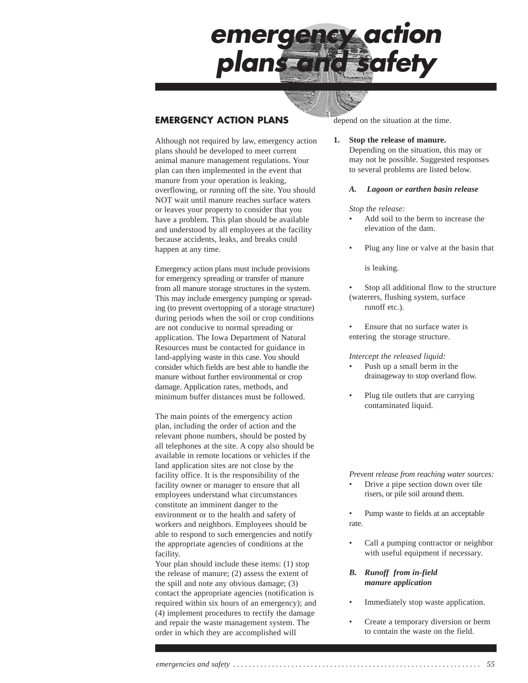

## **EMERGENCY ACTION PLANS**

Although not required by law, emergency action plans should be developed to meet current animal manure management regulations. Your plan can then implemented in the event that manure from your operation is leaking, overflowing, or running off the site. You should NOT wait until manure reaches surface waters or leaves your property to consider that you have a problem. This plan should be available and understood by all employees at the facility because accidents, leaks, and breaks could happen at any time.

Emergency action plans must include provisions for emergency spreading or transfer of manure from all manure storage structures in the system. This may include emergency pumping or spreading (to prevent overtopping of a storage structure) during periods when the soil or crop conditions are not conducive to normal spreading or application. The Iowa Department of Natural Resources must be contacted for guidance in land-applying waste in this case. You should consider which fields are best able to handle the manure without further environmental or crop damage. Application rates, methods, and minimum buffer distances must be followed.

The main points of the emergency action plan, including the order of action and the relevant phone numbers, should be posted by all telephones at the site. A copy also should be available in remote locations or vehicles if the land application sites are not close by the facility office. It is the responsibility of the facility owner or manager to ensure that all employees understand what circumstances constitute an imminent danger to the environment or to the health and safety of workers and neighbors. Employees should be able to respond to such emergencies and notify the appropriate agencies of conditions at the facility.

Your plan should include these items: (1) stop the release of manure; (2) assess the extent of the spill and note any obvious damage; (3) contact the appropriate agencies (notification is required within six hours of an emergency); and (4) implement procedures to rectify the damage and repair the waste management system. The order in which they are accomplished will

depend on the situation at the time.

#### **1. Stop the release of manure.**

Depending on the situation, this may or may not be possible. Suggested responses to several problems are listed below.

### *A. Lagoon or earthen basin release*

#### *Stop the release:*

- Add soil to the berm to increase the elevation of the dam.
- Plug any line or valve at the basin that

is leaking.

- Stop all additional flow to the structure (waterers, flushing system, surface runoff etc.).
- Ensure that no surface water is entering the storage structure.

#### *Intercept the released liquid:*

- Push up a small berm in the drainageway to stop overland flow.
- Plug tile outlets that are carrying contaminated liquid.

*Prevent release from reaching water sources:*

- Drive a pipe section down over tile risers, or pile soil around them.
- Pump waste to fields at an acceptable rate.
- Call a pumping contractor or neighbor with useful equipment if necessary.

### *B. Runoff from in-field manure application*

- Immediately stop waste application.
- Create a temporary diversion or berm to contain the waste on the field.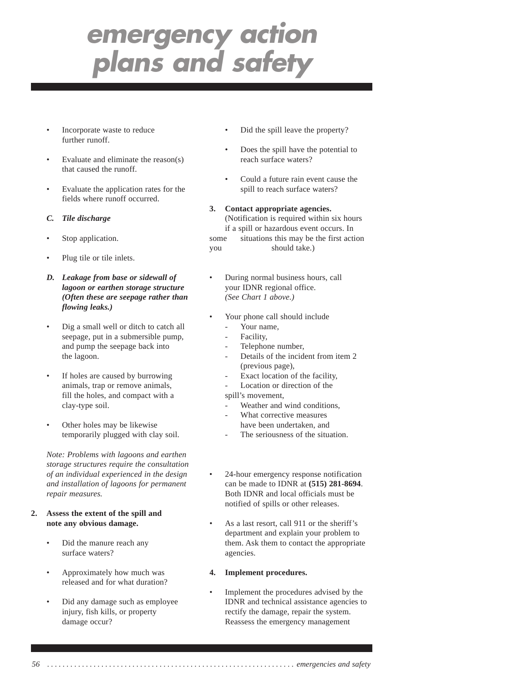- Incorporate waste to reduce further runoff.
- Evaluate and eliminate the reason(s) that caused the runoff.
- Evaluate the application rates for the fields where runoff occurred.
- *C. Tile discharge*
- Stop application.
- Plug tile or tile inlets.
- *D. Leakage from base or sidewall of lagoon or earthen storage structure (Often these are seepage rather than flowing leaks.)*
- Dig a small well or ditch to catch all seepage, put in a submersible pump, and pump the seepage back into the lagoon.
- If holes are caused by burrowing animals, trap or remove animals, fill the holes, and compact with a clay-type soil.
- Other holes may be likewise temporarily plugged with clay soil.

*Note: Problems with lagoons and earthen storage structures require the consultation of an individual experienced in the design and installation of lagoons for permanent repair measures.*

- **2. Assess the extent of the spill and note any obvious damage.**
	- Did the manure reach any surface waters?
	- Approximately how much was released and for what duration?
	- Did any damage such as employee injury, fish kills, or property damage occur?
- Did the spill leave the property?
- Does the spill have the potential to reach surface waters?
- Could a future rain event cause the spill to reach surface waters?
- **3. Contact appropriate agencies.** (Notification is required within six hours if a spill or hazardous event occurs. In some situations this may be the first action you should take.)
- During normal business hours, call your IDNR regional office. *(See Chart 1 above.)*
- Your phone call should include
	- Your name.
	- Facility.
	- Telephone number,
	- Details of the incident from item 2 (previous page),
	- Exact location of the facility,
	- Location or direction of the

spill's movement,

- Weather and wind conditions,
- What corrective measures have been undertaken, and
- The seriousness of the situation.
- 24-hour emergency response notification can be made to IDNR at **(515) 281-8694**. Both IDNR and local officials must be notified of spills or other releases.
- As a last resort, call 911 or the sheriff's department and explain your problem to them. Ask them to contact the appropriate agencies.

### **4. Implement procedures.**

• Implement the procedures advised by the IDNR and technical assistance agencies to rectify the damage, repair the system. Reassess the emergency management

*56 . . . . . . . . . . . . . . . . . . . . . . . . . . . . . . . . . . . . . . . . . . . . . . . . . . . . . . . . . . . . . . . . emergencies and safety*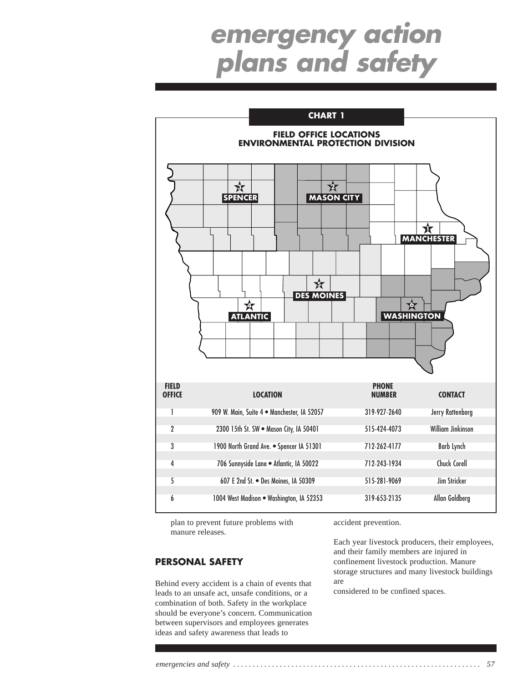

plan to prevent future problems with manure releases.

## **PERSONAL SAFETY**

Behind every accident is a chain of events that leads to an unsafe act, unsafe conditions, or a combination of both. Safety in the workplace should be everyone's concern. Communication between supervisors and employees generates ideas and safety awareness that leads to

accident prevention.

Each year livestock producers, their employees, and their family members are injured in confinement livestock production. Manure storage structures and many livestock buildings are

considered to be confined spaces.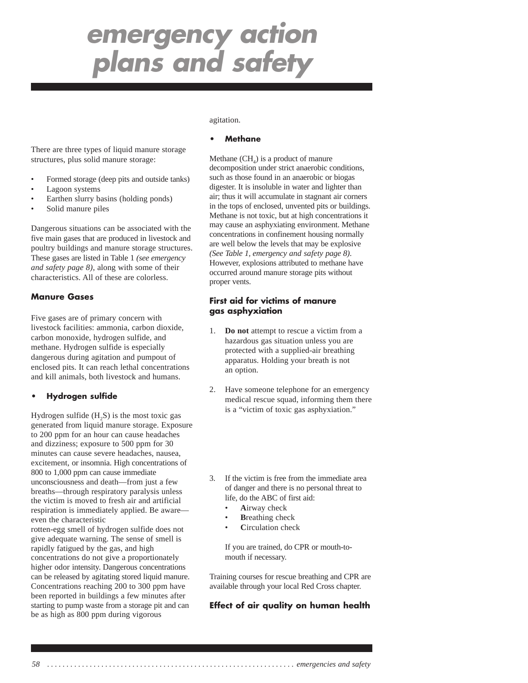There are three types of liquid manure storage structures, plus solid manure storage:

- Formed storage (deep pits and outside tanks)
- Lagoon systems
- Earthen slurry basins (holding ponds)
- Solid manure piles

Dangerous situations can be associated with the five main gases that are produced in livestock and poultry buildings and manure storage structures. These gases are listed in Table 1 *(see emergency and safety page 8)*, along with some of their characteristics. All of these are colorless.

## **Manure Gases**

Five gases are of primary concern with livestock facilities: ammonia, carbon dioxide, carbon monoxide, hydrogen sulfide, and methane. Hydrogen sulfide is especially dangerous during agitation and pumpout of enclosed pits. It can reach lethal concentrations and kill animals, both livestock and humans.

### **• Hydrogen sulfide**

Hydrogen sulfide  $(H, S)$  is the most toxic gas generated from liquid manure storage. Exposure to 200 ppm for an hour can cause headaches and dizziness; exposure to 500 ppm for 30 minutes can cause severe headaches, nausea, excitement, or insomnia. High concentrations of 800 to 1,000 ppm can cause immediate unconsciousness and death—from just a few breaths—through respiratory paralysis unless the victim is moved to fresh air and artificial respiration is immediately applied. Be aware even the characteristic

rotten-egg smell of hydrogen sulfide does not give adequate warning. The sense of smell is rapidly fatigued by the gas, and high concentrations do not give a proportionately higher odor intensity. Dangerous concentrations can be released by agitating stored liquid manure. Concentrations reaching 200 to 300 ppm have been reported in buildings a few minutes after starting to pump waste from a storage pit and can be as high as 800 ppm during vigorous

#### agitation.

### **• Methane**

Methane  $(CH<sub>4</sub>)$  is a product of manure decomposition under strict anaerobic conditions, such as those found in an anaerobic or biogas digester. It is insoluble in water and lighter than air; thus it will accumulate in stagnant air corners in the tops of enclosed, unvented pits or buildings. Methane is not toxic, but at high concentrations it may cause an asphyxiating environment. Methane concentrations in confinement housing normally are well below the levels that may be explosive *(See Table 1, emergency and safety page 8)*. However, explosions attributed to methane have occurred around manure storage pits without proper vents.

### **First aid for victims of manure gas asphyxiation**

- 1. **Do not** attempt to rescue a victim from a hazardous gas situation unless you are protected with a supplied-air breathing apparatus. Holding your breath is not an option.
- 2. Have someone telephone for an emergency medical rescue squad, informing them there is a "victim of toxic gas asphyxiation."
- 3. If the victim is free from the immediate area of danger and there is no personal threat to life, do the ABC of first aid:
	- **A**irway check
	- **Breathing check**
	- **C**irculation check

If you are trained, do CPR or mouth-tomouth if necessary.

Training courses for rescue breathing and CPR are available through your local Red Cross chapter.

### **Effect of air quality on human health**

*58 . . . . . . . . . . . . . . . . . . . . . . . . . . . . . . . . . . . . . . . . . . . . . . . . . . . . . . . . . . . . . . . . emergencies and safety*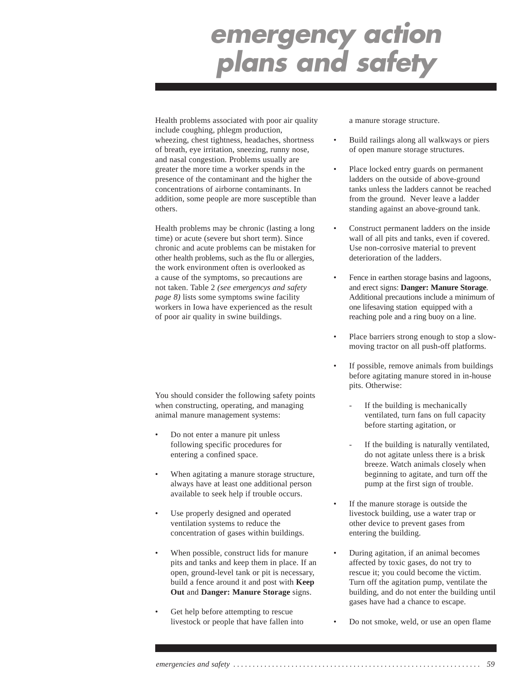Health problems associated with poor air quality include coughing, phlegm production, wheezing, chest tightness, headaches, shortness of breath, eye irritation, sneezing, runny nose, and nasal congestion. Problems usually are greater the more time a worker spends in the presence of the contaminant and the higher the concentrations of airborne contaminants. In addition, some people are more susceptible than others.

Health problems may be chronic (lasting a long time) or acute (severe but short term). Since chronic and acute problems can be mistaken for other health problems, such as the flu or allergies, the work environment often is overlooked as a cause of the symptoms, so precautions are not taken. Table 2 *(see emergencys and safety page 8)* lists some symptoms swine facility workers in Iowa have experienced as the result of poor air quality in swine buildings.

You should consider the following safety points when constructing, operating, and managing animal manure management systems:

- Do not enter a manure pit unless following specific procedures for entering a confined space.
- When agitating a manure storage structure, always have at least one additional person available to seek help if trouble occurs.
- Use properly designed and operated ventilation systems to reduce the concentration of gases within buildings.
- When possible, construct lids for manure pits and tanks and keep them in place. If an open, ground-level tank or pit is necessary, build a fence around it and post with **Keep Out** and **Danger: Manure Storage** signs.
- Get help before attempting to rescue livestock or people that have fallen into

a manure storage structure.

- Build railings along all walkways or piers of open manure storage structures.
- Place locked entry guards on permanent ladders on the outside of above-ground tanks unless the ladders cannot be reached from the ground. Never leave a ladder standing against an above-ground tank.
- Construct permanent ladders on the inside wall of all pits and tanks, even if covered. Use non-corrosive material to prevent deterioration of the ladders.
- Fence in earthen storage basins and lagoons, and erect signs: **Danger: Manure Storage**. Additional precautions include a minimum of one lifesaving station equipped with a reaching pole and a ring buoy on a line.
- Place barriers strong enough to stop a slowmoving tractor on all push-off platforms.
- If possible, remove animals from buildings before agitating manure stored in in-house pits. Otherwise:
	- If the building is mechanically ventilated, turn fans on full capacity before starting agitation, or
	- If the building is naturally ventilated, do not agitate unless there is a brisk breeze. Watch animals closely when beginning to agitate, and turn off the pump at the first sign of trouble.
- If the manure storage is outside the livestock building, use a water trap or other device to prevent gases from entering the building.
- During agitation, if an animal becomes affected by toxic gases, do not try to rescue it; you could become the victim. Turn off the agitation pump, ventilate the building, and do not enter the building until gases have had a chance to escape.
- Do not smoke, weld, or use an open flame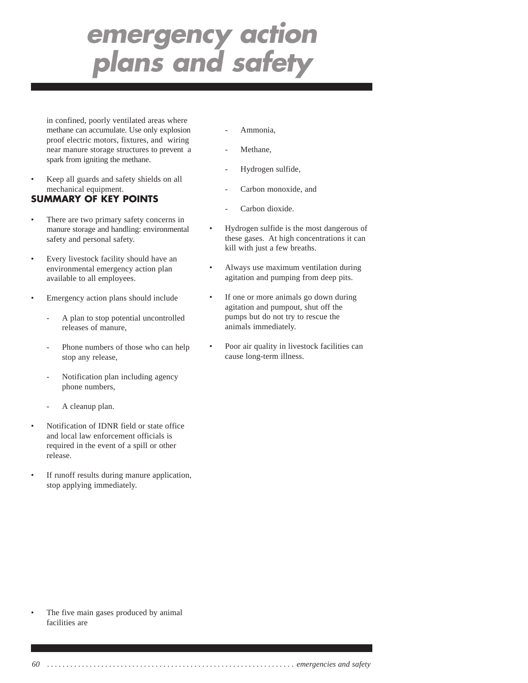in confined, poorly ventilated areas where methane can accumulate. Use only explosion proof electric motors, fixtures, and wiring near manure storage structures to prevent a spark from igniting the methane.

• Keep all guards and safety shields on all mechanical equipment.

## **SUMMARY OF KEY POINTS**

- There are two primary safety concerns in manure storage and handling: environmental safety and personal safety.
- Every livestock facility should have an environmental emergency action plan available to all employees.
- Emergency action plans should include
	- A plan to stop potential uncontrolled releases of manure,
	- Phone numbers of those who can help stop any release,
	- Notification plan including agency phone numbers,
	- A cleanup plan.
- Notification of IDNR field or state office and local law enforcement officials is required in the event of a spill or other release.
- If runoff results during manure application, stop applying immediately.
- Ammonia.
- Methane,
- Hydrogen sulfide,
- Carbon monoxide, and
- Carbon dioxide.
- Hydrogen sulfide is the most dangerous of these gases. At high concentrations it can kill with just a few breaths.
- Always use maximum ventilation during agitation and pumping from deep pits.
- If one or more animals go down during agitation and pumpout, shut off the pumps but do not try to rescue the animals immediately.
- Poor air quality in livestock facilities can cause long-term illness.

The five main gases produced by animal facilities are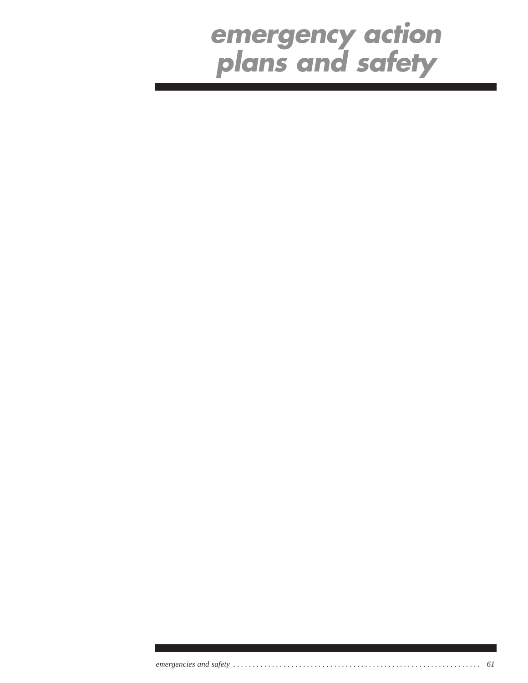*emergencies and safety . . . . . . . . . . . . . . . . . . . . . . . . . . . . . . . . . . . . . . . . . . . . . . . . . . . . . . . . . . . . . . . . 61*